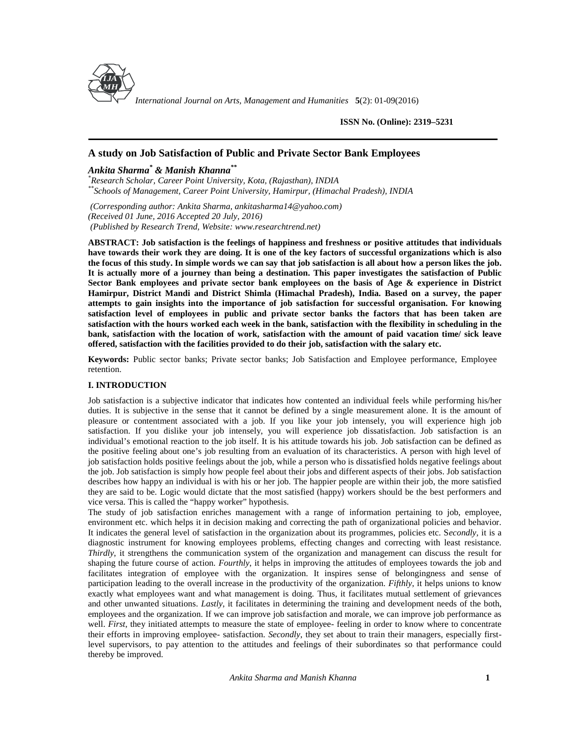

*International Journal on Arts, Management and Humanities* **5**(2): 01-09(2016)

**ISSN No. (Online): 2319–5231**

# **A study on Job Satisfaction of Public and Private Sector Bank Employees**

# *Ankita Sharma\* & Manish Khanna\*\**

*\*Research Scholar, Career Point University, Kota, (Rajasthan), INDIA \*\*Schools of Management, Career Point University, Hamirpur, (Himachal Pradesh), INDIA*

*(Corresponding author: Ankita Sharma, [ankitasharma14@yahoo.com](mailto:ankitasharma14@yahoo.com)) (Received 01 June, 2016 Accepted 20 July, 2016) (Published by Research Trend, Website: [www.researchtrend.net\)](www.researchtrend.net)*

**ABSTRACT: Job satisfaction is the feelings of happiness and freshness or positive attitudes that individuals have towards their work they are doing. It is one of the key factors of successful organizations which is also the focus of this study. In simple words we can say that job satisfaction is all about how a person likes the job. It is actually more of a journey than being a destination. This paper investigates the satisfaction of Public Sector Bank employees and private sector bank employees on the basis of Age & experience in District Hamirpur, District Mandi and District Shimla (Himachal Pradesh), India. Based on a survey, the paper attempts to gain insights into the importance of job satisfaction for successful organisation. For knowing satisfaction level of employees in public and private sector banks the factors that has been taken are satisfaction with the hours worked each week in the bank, satisfaction with the flexibility in scheduling in the bank, satisfaction with the location of work, satisfaction with the amount of paid vacation time/ sick leave offered, satisfaction with the facilities provided to do their job, satisfaction with the salary etc.**

**Keywords:** Public sector banks; Private sector banks; Job Satisfaction and Employee performance, Employee retention.

## **I. INTRODUCTION**

Job satisfaction is a subjective indicator that indicates how contented an individual feels while performing his/her duties. It is subjective in the sense that it cannot be defined by a single measurement alone. It is the amount of pleasure or contentment associated with a job. If you like your job intensely, you will experience high job satisfaction. If you dislike your job intensely, you will experience job dissatisfaction. Job satisfaction is an individual's emotional reaction to the job itself. It is his attitude towards his job. Job satisfaction can be defined as the positive feeling about one's job resulting from an evaluation of its characteristics. A person with high level of job satisfaction holds positive feelings about the job, while a person who is dissatisfied holds negative feelings about the job. Job satisfaction is simply how people feel about their jobs and different aspects of their jobs. Job satisfaction describes how happy an individual is with his or her job. The happier people are within their job, the more satisfied they are said to be. Logic would dictate that the most satisfied (happy) workers should be the best performers and vice versa. This is called the "happy worker" hypothesis.

The study of job satisfaction enriches management with a range of information pertaining to job, employee, environment etc. which helps it in decision making and correcting the path of organizational policies and behavior. It indicates the general level of satisfaction in the organization about its programmes, policies etc. S*econdly,* it is a diagnostic instrument for knowing employees problems, effecting changes and correcting with least resistance. *Thirdly*, it strengthens the communication system of the organization and management can discuss the result for shaping the future course of action. *Fourthly*, it helps in improving the attitudes of employees towards the job and facilitates integration of employee with the organization. It inspires sense of belongingness and sense of participation leading to the overall increase in the productivity of the organization. *Fifthly*, it helps unions to know exactly what employees want and what management is doing. Thus, it facilitates mutual settlement of grievances and other unwanted situations. *Lastly*, it facilitates in determining the training and development needs of the both, employees and the organization. If we can improve job satisfaction and morale, we can improve job performance as well. *First*, they initiated attempts to measure the state of employee-feeling in order to know where to concentrate their efforts in improving employee- satisfaction. *Secondly*, they set about to train their managers, especially firstlevel supervisors, to pay attention to the attitudes and feelings of their subordinates so that performance could thereby be improved.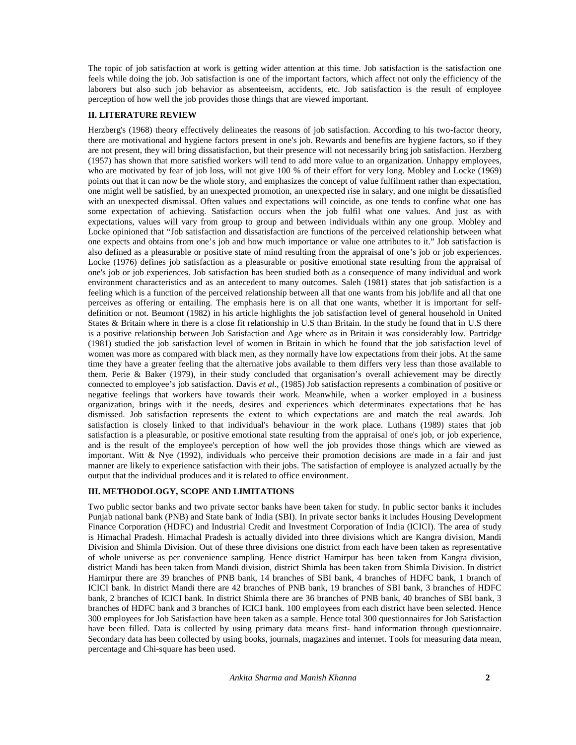The topic of job satisfaction at work is getting wider attention at this time. Job satisfaction is the satisfaction one feels while doing the job. Job satisfaction is one of the important factors, which affect not only the efficiency of the laborers but also such job behavior as absenteeism, accidents, etc. Job satisfaction is the result of employee perception of how well the job provides those things that are viewed important.

## **II. LITERATURE REVIEW**

Herzberg's (1968) theory effectively delineates the reasons of job satisfaction. According to his two-factor theory, there are motivational and hygiene factors present in one's job. Rewards and benefits are hygiene factors, so if they are not present, they will bring dissatisfaction, but their presence will not necessarily bring job satisfaction. Herzberg (1957) has shown that more satisfied workers will tend to add more value to an organization. Unhappy employees, who are motivated by fear of job loss, will not give 100 % of their effort for very long. Mobley and Locke (1969) points out that it can now be the whole story, and emphasizes the concept of value fulfilment rather than expectation, one might well be satisfied, by an unexpected promotion, an unexpected rise in salary, and one might be dissatisfied with an unexpected dismissal. Often values and expectations will coincide, as one tends to confine what one has some expectation of achieving. Satisfaction occurs when the job fulfil what one values. And just as with expectations, values will vary from group to group and between individuals within any one group. Mobley and Locke opinioned that "Job satisfaction and dissatisfaction are functions of the perceived relationship between what one expects and obtains from one's job and how much importance or value one attributes to it." Job satisfaction is also defined as a pleasurable or positive state of mind resulting from the appraisal of one's job or job experiences. Locke (1976) defines job satisfaction as a pleasurable or positive emotional state resulting from the appraisal of one's job or job experiences. Job satisfaction has been studied both as a consequence of many individual and work environment characteristics and as an antecedent to many outcomes. Saleh (1981) states that job satisfaction is a feeling which is a function of the perceived relationship between all that one wants from his job/life and all that one perceives as offering or entailing. The emphasis here is on all that one wants, whether it is important for self definition or not. Beumont (1982) in his article highlights the job satisfaction level of general household in United States & Britain where in there is a close fit relationship in U.S than Britain. In the study he found that in U.S there is a positive relationship between Job Satisfaction and Age where as in Britain it was considerably low. Partridge (1981) studied the job satisfaction level of women in Britain in which he found that the job satisfaction level of women was more as compared with black men, as they normally have low expectations from their jobs. At the same time they have a greater feeling that the alternative jobs available to them differs very less than those available to them. Perie & Baker (1979), in their study concluded that organisation's overall achievement may be directly connected to employee's job satisfaction. Davis *et al*., (1985) Job satisfaction represents a combination of positive or negative feelings that workers have towards their work. Meanwhile, when a worker employed in a business organization, brings with it the needs, desires and experiences which determinates expectations that he has dismissed. Job satisfaction represents the extent to which expectations are and match the real awards. Job satisfaction is closely linked to that individual's behaviour in the work place. Luthans (1989) states that job satisfaction is a pleasurable, or positive emotional state resulting from the appraisal of one's job, or job experience, and is the result of the employee's perception of how well the job provides those things which are viewed as important. Witt & Nye (1992), individuals who perceive their promotion decisions are made in a fair and just manner are likely to experience satisfaction with their jobs. The satisfaction of employee is analyzed actually by the output that the individual produces and it is related to office environment.

## **III. METHODOLOGY, SCOPE AND LIMITATIONS**

Two public sector banks and two private sector banks have been taken for study. In public sector banks it includes Punjab national bank (PNB) and State bank of India (SBI). In private sector banks it includes Housing Development Finance Corporation (HDFC) and Industrial Credit and Investment Corporation of India (ICICI). The area of study is Himachal Pradesh. Himachal Pradesh is actually divided into three divisions which are Kangra division, Mandi Division and Shimla Division. Out of these three divisions one district from each have been taken as representative of whole universe as per convenience sampling. Hence district Hamirpur has been taken from Kangra division, district Mandi has been taken from Mandi division, district Shimla has been taken from Shimla Division. In district Hamirpur there are 39 branches of PNB bank, 14 branches of SBI bank, 4 branches of HDFC bank, 1 branch of ICICI bank. In district Mandi there are 42 branches of PNB bank, 19 branches of SBI bank, 3 branches of HDFC bank, 2 branches of ICICI bank. In district Shimla there are 36 branches of PNB bank, 40 branches of SBI bank, 3 branches of HDFC bank and 3 branches of ICICI bank. 100 employees from each district have been selected. Hence 300 employees for Job Satisfaction have been taken as a sample. Hence total 300 questionnaires for Job Satisfaction have been filled. Data is collected by using primary data means first- hand information through questionnaire. Secondary data has been collected by using books, journals, magazines and internet. Tools for measuring data mean, percentage and Chi-square has been used.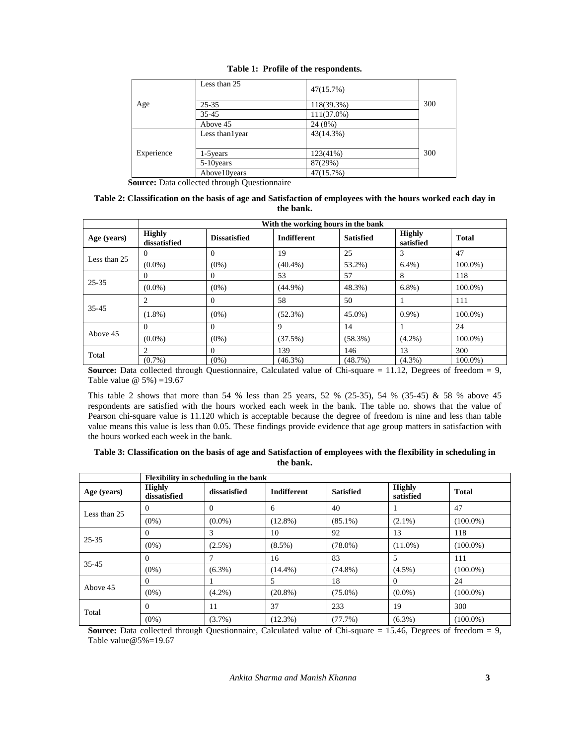|            | Less than 25     | 47(15.7%)     |     |
|------------|------------------|---------------|-----|
| Age        | $25 - 35$        | 118(39.3%)    | 300 |
|            | $35 - 45$        | $111(37.0\%)$ |     |
|            | Above 45         | 24 (8%)       |     |
|            | Less than 1 year | 43(14.3%)     |     |
|            |                  |               |     |
| Experience | 1-5 years        | 123(41%)      | 300 |
|            | 5-10 years       | 87(29%)       |     |
|            | Above10years     | 47(15.7%)     |     |

**Table 1: Profile of the respondents.**

**Source:** Data collected through Questionnaire

## **Table 2: Classification on the basis of age and Satisfaction of employees with the hours worked each day in the bank.**

|              | With the working hours in the bank |                     |                    |                  |                            |              |
|--------------|------------------------------------|---------------------|--------------------|------------------|----------------------------|--------------|
| Age (years)  | <b>Highly</b><br>dissatisfied      | <b>Dissatisfied</b> | <b>Indifferent</b> | <b>Satisfied</b> | <b>Highly</b><br>satisfied | <b>Total</b> |
|              | $\Omega$                           | $\Omega$            | 19                 | 25               | 3                          | 47           |
| Less than 25 | $(0.0\%)$                          | $(0\%)$             | $(40.4\%)$         | 53.2%)           | $6.4%$ )                   | $100.0\%$ )  |
| $25 - 35$    | $\Omega$                           | $\Omega$            | 53                 | 57               | 8                          | 118          |
|              | $(0.0\%)$                          | $(0\%)$             | $(44.9\%)$         | 48.3%)           | $6.8%$ )                   | $100.0\%$ )  |
|              | 2                                  | $\Omega$            | 58                 | 50               |                            | 111          |
| 35-45        | $(1.8\%)$                          | $(0\%)$             | $(52.3\%)$         | $45.0\%$ )       | $0.9\%$ )                  | $100.0\%$ )  |
|              | $\Omega$                           | $\Omega$            | 9                  | 14               |                            | 24           |
| Above 45     | $(0.0\%)$                          | $(0\%)$             | (37.5%)            | (58.3%)          | $(4.2\%)$                  | $100.0\%$ )  |
|              |                                    | $\Omega$            | 139                | 146              | 13                         | 300          |
| Total        | $(0.7\%)$                          | $(0\%)$             | $(46.3\%)$         | (48.7%)          | $(4.3\%)$                  | $100.0\%$ )  |

**Source:** Data collected through Questionnaire, Calculated value of Chi-square = 11.12, Degrees of freedom = 9, Table value  $\omega$  5%) = 19.67

This table 2 shows that more than 54 % less than 25 years, 52 % (25-35), 54 % (35-45) & 58 % above 45 respondents are satisfied with the hours worked each week in the bank. The table no. shows that the value of Pearson chi-square value is 11.120 which is acceptable because the degree of freedom is nine and less than table value means this value is less than 0.05. These findings provide evidence that age group matters in satisfaction with the hours worked each week in the bank.

| Table 3: Classification on the basis of age and Satisfaction of employees with the flexibility in scheduling in |  |
|-----------------------------------------------------------------------------------------------------------------|--|
| the bank.                                                                                                       |  |

|              |                               | Flexibility in scheduling in the bank |                    |                  |                            |              |
|--------------|-------------------------------|---------------------------------------|--------------------|------------------|----------------------------|--------------|
| Age (years)  | <b>Highly</b><br>dissatisfied | dissatisfied                          | <b>Indifferent</b> | <b>Satisfied</b> | <b>Highly</b><br>satisfied | <b>Total</b> |
| Less than 25 | $\Omega$                      | $\Omega$                              | 6                  | 40               |                            | 47           |
|              | $(0\%)$                       | $(0.0\%)$                             | $(12.8\%)$         | $(85.1\%)$       | $(2.1\%)$                  | $(100.0\%)$  |
| $25 - 35$    | $\Omega$                      | 3                                     | 10                 | 92               | 13                         | 118          |
|              | $(0\%)$                       | $(2.5\%)$                             | $(8.5\%)$          | $(78.0\%)$       | $(11.0\%)$                 | $(100.0\%)$  |
| 35-45        | $\Omega$                      |                                       | 16                 | 83               | 5                          | 111          |
|              | $(0\%)$                       | $(6.3\%)$                             | $(14.4\%)$         | $(74.8\%)$       | $(4.5\%)$                  | $(100.0\%)$  |
|              | $\Omega$                      |                                       | 5                  | 18               | $\Omega$                   | 24           |
| Above 45     | $(0\%)$                       | $(4.2\%)$                             | $(20.8\%)$         | $(75.0\%)$       | $(0.0\%)$                  | $(100.0\%)$  |
| Total        | $\Omega$                      | 11                                    | 37                 | 233              | 19                         | 300          |
|              | $(0\%)$                       | $(3.7\%)$                             | $(12.3\%)$         | (77.7%)          | $(6.3\%)$                  | $(100.0\%)$  |

**Source:** Data collected through Questionnaire, Calculated value of Chi-square = 15.46, Degrees of freedom = 9, Table value@5%=19.67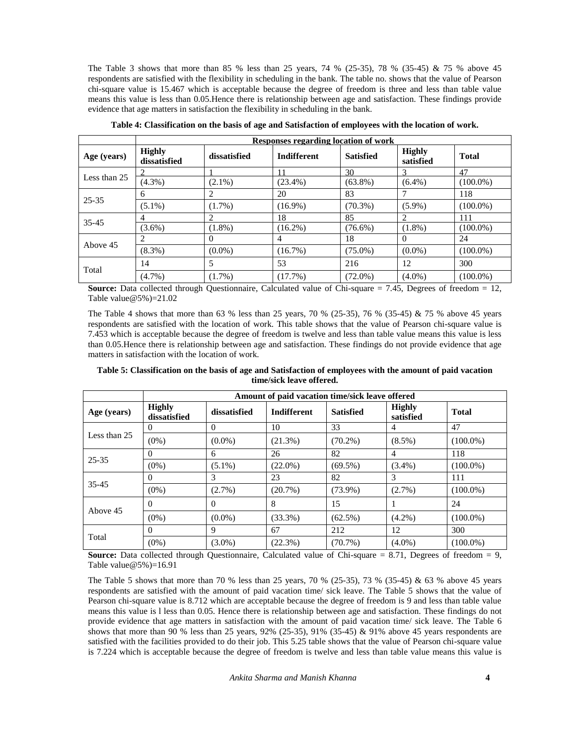The Table 3 shows that more than 85 % less than 25 years, 74 % (25-35), 78 % (35-45) & 75 % above 45 respondents are satisfied with the flexibility in scheduling in the bank. The table no. shows that the value of Pearson chi-square value is 15.467 which is acceptable because the degree of freedom is three and less than table value means this value is less than 0.05.Hence there is relationship between age and satisfaction. These findings provide evidence that age matters in satisfaction the flexibility in scheduling in the bank.

|              |                               | Responses regarding location of work |                    |                  |                            |              |  |
|--------------|-------------------------------|--------------------------------------|--------------------|------------------|----------------------------|--------------|--|
| Age (years)  | <b>Highly</b><br>dissatisfied | dissatisfied                         | <b>Indifferent</b> | <b>Satisfied</b> | <b>Highly</b><br>satisfied | <b>Total</b> |  |
|              |                               |                                      |                    | 30               |                            | 47           |  |
| Less than 25 | $(4.3\%)$                     | $(2.1\%)$                            | $(23.4\%)$         | $(63.8\%)$       | $(6.4\%)$                  | $(100.0\%)$  |  |
|              | 6                             | 2                                    | 20                 | 83               |                            | 118          |  |
| $25 - 35$    | $(5.1\%)$                     | $(1.7\%)$                            | $(16.9\%)$         | $(70.3\%)$       | $(5.9\%)$                  | $(100.0\%)$  |  |
| $35 - 45$    | 4                             | 2                                    | 18                 | 85               |                            | 111          |  |
|              | $(3.6\%)$                     | $(1.8\%)$                            | $(16.2\%)$         | $(76.6\%)$       | $(1.8\%)$                  | $(100.0\%)$  |  |
|              | $\mathfrak{D}$                | $\Omega$                             | 4                  | 18               | $\Omega$                   | 24           |  |
| Above 45     | $(8.3\%)$                     | $(0.0\%)$                            | (16.7%)            | $(75.0\%)$       | $(0.0\%)$                  | $(100.0\%)$  |  |
| Total        | 14                            | 5                                    | 53                 | 216              | 12                         | 300          |  |
|              | $(4.7\%)$                     | $(1.7\%)$                            | (17.7%)            | $(72.0\%)$       | $(4.0\%)$                  | $(100.0\%)$  |  |

**Table 4: Classification on the basis of age and Satisfaction of employees with the location of work.**

**Source:** Data collected through Questionnaire, Calculated value of Chi-square = 7.45, Degrees of freedom = 12, Table value  $@5\%$  = 21.02

The Table 4 shows that more than 63 % less than 25 years, 70 % (25-35), 76 % (35-45) & 75 % above 45 years respondents are satisfied with the location of work. This table shows that the value of Pearson chi-square value is 7.453 which is acceptable because the degree of freedom is twelve and less than table value means this value is less than 0.05.Hence there is relationship between age and satisfaction. These findings do not provide evidence that age matters in satisfaction with the location of work.

**Table 5: Classification on the basis of age and Satisfaction of employees with the amount of paid vacation time/sick leave offered.**

|              | Amount of paid vacation time/sick leave offered |              |                    |                  |                            |              |  |
|--------------|-------------------------------------------------|--------------|--------------------|------------------|----------------------------|--------------|--|
| Age (years)  | <b>Highly</b><br>dissatisfied                   | dissatisfied | <b>Indifferent</b> | <b>Satisfied</b> | <b>Highly</b><br>satisfied | <b>Total</b> |  |
|              |                                                 | $\Omega$     | 10                 | 33               | 4                          | 47           |  |
| Less than 25 | $(0\%)$                                         | $(0.0\%)$    | $(21.3\%)$         | $(70.2\%)$       | $(8.5\%)$                  | $(100.0\%)$  |  |
|              | $\Omega$                                        | 6            | 26                 | 82               | 4                          | 118          |  |
| $25 - 35$    | $(0\%)$                                         | $(5.1\%)$    | $(22.0\%)$         | $(69.5\%)$       | $(3.4\%)$                  | $(100.0\%)$  |  |
|              | 0                                               | 3            | 23                 | 82               | 3                          | 111          |  |
| $35 - 45$    | $(0\%)$                                         | $(2.7\%)$    | $(20.7\%)$         | $(73.9\%)$       | (2.7%)                     | $(100.0\%)$  |  |
|              | 0                                               | $\Omega$     | 8                  | 15               |                            | 24           |  |
| Above 45     | $(0\%)$                                         | $(0.0\%)$    | $(33.3\%)$         | $(62.5\%)$       | $(4.2\%)$                  | $(100.0\%)$  |  |
|              | $\Omega$                                        | 9            | 67                 | 212              | 12                         | 300          |  |
| Total        | $(0\%)$                                         | $(3.0\%)$    | (22.3%)            | $(70.7\%)$       | $(4.0\%)$                  | $(100.0\%)$  |  |

**Source:** Data collected through Questionnaire, Calculated value of Chi-square  $= 8.71$ , Degrees of freedom  $= 9$ , Table value  $@5\%$  = 16.91

The Table 5 shows that more than 70 % less than 25 years, 70 % (25-35), 73 % (35-45) & 63 % above 45 years respondents are satisfied with the amount of paid vacation time/ sick leave. The Table 5 shows that the value of Pearson chi-square value is 8.712 which are acceptable because the degree of freedom is 9 and less than table value means this value is l less than 0.05. Hence there is relationship between age and satisfaction. These findings do not provide evidence that age matters in satisfaction with the amount of paid vacation time/ sick leave. The Table 6 shows that more than 90 % less than 25 years, 92% (25-35), 91% (35-45) & 91% above 45 years respondents are satisfied with the facilities provided to do their job. This 5.25 table shows that the value of Pearson chi-square value is 7.224 which is acceptable because the degree of freedom is twelve and less than table value means this value is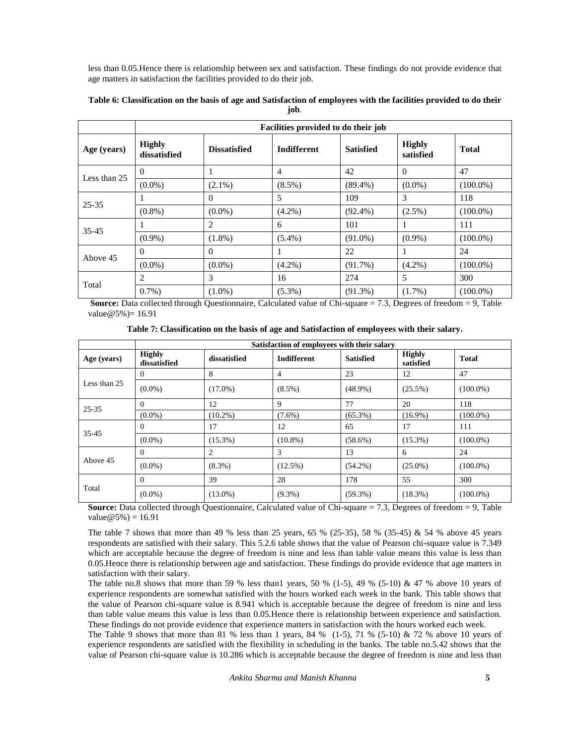less than 0.05.Hence there is relationship between sex and satisfaction. These findings do not provide evidence that age matters in satisfaction the facilities provided to do their job.

| Table 6: Classification on the basis of age and Satisfaction of employees with the facilities provided to do their |  |
|--------------------------------------------------------------------------------------------------------------------|--|
| job.                                                                                                               |  |

|              | Facilities provided to do their job |                     |                    |                  |                            |              |  |  |
|--------------|-------------------------------------|---------------------|--------------------|------------------|----------------------------|--------------|--|--|
| Age (years)  | <b>Highly</b><br>dissatisfied       | <b>Dissatisfied</b> | <b>Indifferent</b> | <b>Satisfied</b> | <b>Highly</b><br>satisfied | <b>Total</b> |  |  |
| Less than 25 | 0                                   |                     | 4                  | 42               | $\Omega$                   | 47           |  |  |
|              | $(0.0\%)$                           | $(2.1\%)$           | $(8.5\%)$          | $(89.4\%)$       | $(0.0\%)$                  | $(100.0\%)$  |  |  |
| $25 - 35$    |                                     | $\Omega$            | 5                  | 109              | 3                          | 118          |  |  |
|              | $(0.8\%)$                           | $(0.0\%)$           | $(4.2\%)$          | $(92.4\%)$       | $(2.5\%)$                  | $(100.0\%)$  |  |  |
| $35 - 45$    |                                     | 2                   | 6                  | 101              |                            | 111          |  |  |
|              | $(0.9\%)$                           | $(1.8\%)$           | $(5.4\%)$          | $(91.0\%)$       | $(0.9\%)$                  | $(100.0\%)$  |  |  |
|              | $\theta$                            | $\Omega$            |                    | 22               |                            | 24           |  |  |
| Above 45     | $(0.0\%)$                           | $(0.0\%)$           | $(4.2\%)$          | $(91.7\%)$       | $(4.2\%)$                  | $(100.0\%)$  |  |  |
|              | 2                                   | 3                   | 16                 | 274              | 5                          | 300          |  |  |
| Total        | $0.7\%$ )                           | $(1.0\%)$           | $(5.3\%)$          | $(91.3\%)$       | $(1.7\%)$                  | $(100.0\%)$  |  |  |

**Source:** Data collected through Questionnaire, Calculated value of Chi-square = 7.3, Degrees of freedom = 9, Table  $value@5% = 16.91$ 

**Table 7: Classification on the basis of age and Satisfaction of employees with their salary.**

|              | Satisfaction of employees with their salary |                |                    |                  |                            |              |
|--------------|---------------------------------------------|----------------|--------------------|------------------|----------------------------|--------------|
| Age (years)  | <b>Highly</b><br>dissatisfied               | dissatisfied   | <b>Indifferent</b> | <b>Satisfied</b> | <b>Highly</b><br>satisfied | <b>Total</b> |
|              | 0                                           | 8              | 4                  | 23               | 12                         | 47           |
| Less than 25 | $(0.0\%)$                                   | $(17.0\%)$     | $(8.5\%)$          | $(48.9\%)$       | $(25.5\%)$                 | $(100.0\%)$  |
| $25 - 35$    | $\Omega$                                    | 12             | 9                  | 77               | 20                         | 118          |
|              | $(0.0\%)$                                   | $(10.2\%)$     | $(7.6\%)$          | $(65.3\%)$       | $(16.9\%)$                 | $(100.0\%)$  |
| $35 - 45$    | 0                                           | 17             | 12                 | 65               | 17                         | 111          |
|              | $(0.0\%)$                                   | $(15.3\%)$     | $(10.8\%)$         | $(58.6\%)$       | $(15.3\%)$                 | $(100.0\%)$  |
|              | $\Omega$                                    | $\overline{c}$ | 3                  | 13               | 6                          | 24           |
| Above 45     | $(0.0\%)$                                   | $(8.3\%)$      | $(12.5\%)$         | $(54.2\%)$       | $(25.0\%)$                 | $(100.0\%)$  |
|              | $\Omega$                                    | 39             | 28                 | 178              | 55                         | 300          |
| Total        | $(0.0\%)$                                   | $(13.0\%)$     | $(9.3\%)$          | $(59.3\%)$       | $(18.3\%)$                 | $(100.0\%)$  |

**Source:** Data collected through Questionnaire, Calculated value of Chi-square = 7.3, Degrees of freedom = 9, Table  $value@5\% = 16.91$ 

The table 7 shows that more than 49 % less than 25 years, 65 % (25-35), 58 % (35-45) & 54 % above 45 years respondents are satisfied with their salary. This 5.2.6 table shows that the value of Pearson chi-square value is 7.349 which are acceptable because the degree of freedom is nine and less than table value means this value is less than 0.05.Hence there is relationship between age and satisfaction. These findings do provide evidence that age matters in satisfaction with their salary.

The table no.8 shows that more than 59 % less than 1 years, 50 % (1-5), 49 % (5-10) & 47 % above 10 years of experience respondents are somewhat satisfied with the hours worked each week in the bank. This table shows that the value of Pearson chi-square value is 8.941 which is acceptable because the degree of freedom is nine and less than table value means this value is less than 0.05.Hence there is relationship between experience and satisfaction. These findings do not provide evidence that experience matters in satisfaction with the hours worked each week.

The Table 9 shows that more than 81 % less than 1 years, 84 %  $(1-5)$ , 71 %  $(5-10)$  & 72 % above 10 years of experience respondents are satisfied with the flexibility in scheduling in the banks. The table no.5.42 shows that the value of Pearson chi-square value is 10.286 which is acceptable because the degree of freedom is nine and less than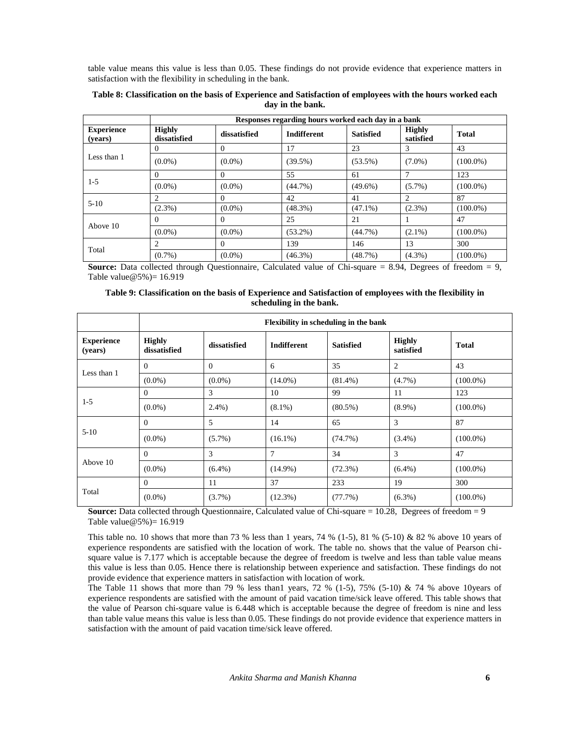table value means this value is less than 0.05. These findings do not provide evidence that experience matters in satisfaction with the flexibility in scheduling in the bank.

|                              | Responses regarding hours worked each day in a bank |              |                    |                  |                            |              |  |  |
|------------------------------|-----------------------------------------------------|--------------|--------------------|------------------|----------------------------|--------------|--|--|
| <b>Experience</b><br>(vears) | <b>Highly</b><br>dissatisfied                       | dissatisfied | <b>Indifferent</b> | <b>Satisfied</b> | <b>Highly</b><br>satisfied | <b>Total</b> |  |  |
|                              | $\theta$                                            | $\Omega$     | 17                 | 23               | 3                          | 43           |  |  |
| Less than 1                  | $(0.0\%)$                                           | $(0.0\%)$    | $(39.5\%)$         | $(53.5\%)$       | $(7.0\%)$                  | $(100.0\%)$  |  |  |
|                              | $\Omega$                                            | $\Omega$     | 55                 | 61               |                            | 123          |  |  |
| $1-5$                        | $(0.0\%)$                                           | $(0.0\%)$    | $(44.7\%)$         | $(49.6\%)$       | $(5.7\%)$                  | $(100.0\%)$  |  |  |
|                              |                                                     | $\Omega$     | 42                 | 41               | 2                          | 87           |  |  |
| $5-10$                       | $(2.3\%)$                                           | $(0.0\%)$    | $(48.3\%)$         | $(47.1\%)$       | $(2.3\%)$                  | $(100.0\%)$  |  |  |
|                              | $\Omega$                                            | $\Omega$     | 25                 | 21               |                            | 47           |  |  |
| Above 10                     | $(0.0\%)$                                           | $(0.0\%)$    | $(53.2\%)$         | $(44.7\%)$       | $(2.1\%)$                  | $(100.0\%)$  |  |  |
|                              | 2                                                   | $\Omega$     | 139                | 146              | 13                         | 300          |  |  |
| Total                        | $(0.7\%)$                                           | $(0.0\%)$    | $(46.3\%)$         | (48.7%)          | $(4.3\%)$                  | $(100.0\%)$  |  |  |

## **Table 8: Classification on the basis of Experience and Satisfaction of employees with the hours worked each day in the bank.**

**Source:** Data collected through Questionnaire, Calculated value of Chi-square = 8.94, Degrees of freedom = 9, Table value  $@5\% = 16.919$ 

| Table 9: Classification on the basis of Experience and Satisfaction of employees with the flexibility in |  |
|----------------------------------------------------------------------------------------------------------|--|
| scheduling in the bank.                                                                                  |  |

|                              |                               | Flexibility in scheduling in the bank |                    |                  |                            |              |  |
|------------------------------|-------------------------------|---------------------------------------|--------------------|------------------|----------------------------|--------------|--|
| <b>Experience</b><br>(years) | <b>Highly</b><br>dissatisfied | dissatisfied                          | <b>Indifferent</b> | <b>Satisfied</b> | <b>Highly</b><br>satisfied | <b>Total</b> |  |
| Less than 1                  | $\Omega$                      | $\Omega$                              | 6                  | 35               | 2                          | 43           |  |
|                              | $(0.0\%)$                     | $(0.0\%)$                             | $(14.0\%)$         | $(81.4\%)$       | $(4.7\%)$                  | $(100.0\%)$  |  |
|                              | $\Omega$                      | 3                                     | 10                 | 99               | 11                         | 123          |  |
| $1 - 5$                      | $(0.0\%)$                     | $2.4\%$ )                             | $(8.1\%)$          | $(80.5\%)$       | $(8.9\%)$                  | $(100.0\%)$  |  |
|                              | $\Omega$                      | 5                                     | 14                 | 65               | 3                          | 87           |  |
| $5 - 10$                     | $(0.0\%)$                     | $(5.7\%)$                             | $(16.1\%)$         | (74.7%)          | $(3.4\%)$                  | $(100.0\%)$  |  |
|                              | $\Omega$                      | 3                                     | 7                  | 34               | 3                          | 47           |  |
| Above 10                     | $(0.0\%)$                     | $(6.4\%)$                             | $(14.9\%)$         | (72.3%)          | $(6.4\%)$                  | $(100.0\%)$  |  |
|                              | $\Omega$                      | 11                                    | 37                 | 233              | 19                         | 300          |  |
| Total                        | $(0.0\%)$                     | $(3.7\%)$                             | $(12.3\%)$         | (77.7%)          | $(6.3\%)$                  | $(100.0\%)$  |  |

**Source:** Data collected through Questionnaire, Calculated value of Chi-square = 10.28, Degrees of freedom = 9 Table value@5%)=  $16.919$ 

This table no. 10 shows that more than 73 % less than 1 years, 74 % (1-5), 81 % (5-10) & 82 % above 10 years of experience respondents are satisfied with the location of work. The table no. shows that the value of Pearson chi square value is 7.177 which is acceptable because the degree of freedom is twelve and less than table value means this value is less than 0.05. Hence there is relationship between experience and satisfaction. These findings do not provide evidence that experience matters in satisfaction with location of work.

The Table 11 shows that more than 79 % less than 1 years, 72 %  $(1-5)$ , 75%  $(5-10)$  & 74 % above 10years of experience respondents are satisfied with the amount of paid vacation time/sick leave offered. This table shows that the value of Pearson chi-square value is 6.448 which is acceptable because the degree of freedom is nine and less than table value means this value is less than 0.05. These findings do not provide evidence that experience matters in satisfaction with the amount of paid vacation time/sick leave offered.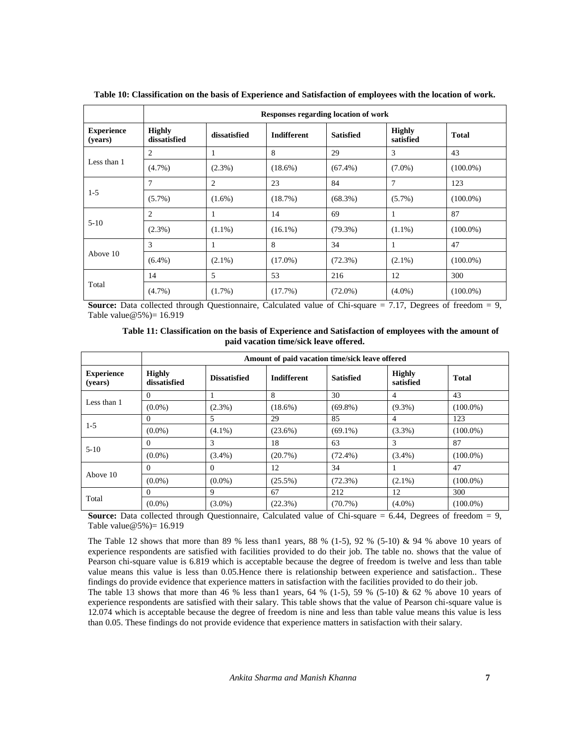|                              | Responses regarding location of work |              |                    |                  |                            |              |
|------------------------------|--------------------------------------|--------------|--------------------|------------------|----------------------------|--------------|
| <b>Experience</b><br>(years) | <b>Highly</b><br>dissatisfied        | dissatisfied | <b>Indifferent</b> | <b>Satisfied</b> | <b>Highly</b><br>satisfied | <b>Total</b> |
| Less than 1                  | 2                                    |              | 8                  | 29               | 3                          | 43           |
|                              | $(4.7\%)$                            | $(2.3\%)$    | $(18.6\%)$         | $(67.4\%)$       | $(7.0\%)$                  | $(100.0\%)$  |
| $1-5$                        | 7                                    | 2            | 23                 | 84               | 7                          | 123          |
|                              | $(5.7\%)$                            | $(1.6\%)$    | (18.7%)            | $(68.3\%)$       | $(5.7\%)$                  | $(100.0\%)$  |
| $5-10$                       | $\overline{c}$                       | 1            | 14                 | 69               | 1                          | 87           |
|                              | $(2.3\%)$                            | $(1.1\%)$    | $(16.1\%)$         | $(79.3\%)$       | $(1.1\%)$                  | $(100.0\%)$  |
| Above 10                     | 3                                    |              | 8                  | 34               | 1                          | 47           |
|                              | $(6.4\%)$                            | $(2.1\%)$    | $(17.0\%)$         | $(72.3\%)$       | $(2.1\%)$                  | $(100.0\%)$  |
| Total                        | 14                                   | 5            | 53                 | 216              | 12                         | 300          |
|                              | $(4.7\%)$                            | $(1.7\%)$    | (17.7%)            | $(72.0\%)$       | $(4.0\%)$                  | $(100.0\%)$  |

**Table 10: Classification on the basis of Experience and Satisfaction of employees with the location of work.**

**Source:** Data collected through Questionnaire, Calculated value of Chi-square = 7.17, Degrees of freedom = 9, Table value  $@5\% = 16.919$ 

|  |                                        | Table 11: Classification on the basis of Experience and Satisfaction of employees with the amount of |
|--|----------------------------------------|------------------------------------------------------------------------------------------------------|
|  | paid vacation time/sick leave offered. |                                                                                                      |

|                              | Amount of paid vacation time/sick leave offered |                     |                    |                  |                            |             |
|------------------------------|-------------------------------------------------|---------------------|--------------------|------------------|----------------------------|-------------|
| <b>Experience</b><br>(years) | <b>Highly</b><br>dissatisfied                   | <b>Dissatisfied</b> | <b>Indifferent</b> | <b>Satisfied</b> | <b>Highly</b><br>satisfied | Total       |
| Less than 1                  |                                                 |                     | 8                  | 30               | 4                          | 43          |
|                              | $(0.0\%)$                                       | $(2.3\%)$           | $(18.6\%)$         | $(69.8\%)$       | $(9.3\%)$                  | $(100.0\%)$ |
| $1-5$                        | $\Omega$                                        | 5                   | 29                 | 85               | 4                          | 123         |
|                              | $(0.0\%)$                                       | $(4.1\%)$           | $(23.6\%)$         | $(69.1\%)$       | $(3.3\%)$                  | $(100.0\%)$ |
| $5 - 10$                     | $\Omega$                                        | 3                   | 18                 | 63               | 3                          | 87          |
|                              | $(0.0\%)$                                       | $(3.4\%)$           | (20.7%)            | $(72.4\%)$       | $(3.4\%)$                  | $(100.0\%)$ |
| Above 10                     | $\Omega$                                        | $\Omega$            | 12                 | 34               |                            | 47          |
|                              | $(0.0\%)$                                       | $(0.0\%)$           | $(25.5\%)$         | $(72.3\%)$       | $(2.1\%)$                  | $(100.0\%)$ |
| Total                        | $\Omega$                                        | 9                   | 67                 | 212              | 12                         | 300         |
|                              | $(0.0\%)$                                       | $(3.0\%)$           | (22.3%)            | $(70.7\%)$       | $(4.0\%)$                  | $(100.0\%)$ |

**Source:** Data collected through Questionnaire, Calculated value of Chi-square = 6.44, Degrees of freedom = 9, Table value  $@5\% = 16.919$ 

The Table 12 shows that more than 89 % less than 1 years, 88 % (1-5), 92 % (5-10) & 94 % above 10 years of experience respondents are satisfied with facilities provided to do their job. The table no. shows that the value of Pearson chi-square value is 6.819 which is acceptable because the degree of freedom is twelve and less than table value means this value is less than 0.05.Hence there is relationship between experience and satisfaction.. These findings do provide evidence that experience matters in satisfaction with the facilities provided to do their job.

The table 13 shows that more than 46 % less than 1 years, 64 % (1-5), 59 % (5-10) & 62 % above 10 years of experience respondents are satisfied with their salary. This table shows that the value of Pearson chi-square value is 12.074 which is acceptable because the degree of freedom is nine and less than table value means this value is less than 0.05. These findings do not provide evidence that experience matters in satisfaction with their salary.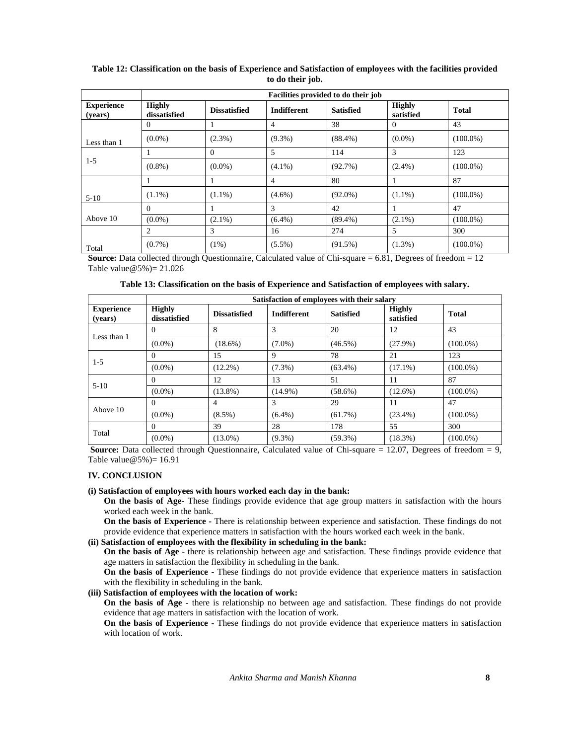| to do their job.             |                                     |                     |                    |                  |                            |              |
|------------------------------|-------------------------------------|---------------------|--------------------|------------------|----------------------------|--------------|
|                              | Facilities provided to do their job |                     |                    |                  |                            |              |
| <b>Experience</b><br>(years) | <b>Highly</b><br>dissatisfied       | <b>Dissatisfied</b> | <b>Indifferent</b> | <b>Satisfied</b> | <b>Highly</b><br>satisfied | <b>Total</b> |
|                              | $\theta$                            |                     | 4                  | 38               |                            | 43           |
| Less than 1                  | $(0.0\%)$                           | $(2.3\%)$           | $(9.3\%)$          | $(88.4\%)$       | $(0.0\%)$                  | $(100.0\%)$  |
| $1-5$                        |                                     |                     |                    | 114              |                            | 123          |
|                              | $(0.8\%)$                           | $(0.0\%)$           | $(4.1\%)$          | (92.7%)          | $(2.4\%)$                  | $(100.0\%)$  |
|                              |                                     |                     | 4                  | 80               |                            | 87           |

 $(1.1\%)$   $(1.1\%)$   $(4.6\%)$   $(92.0\%)$   $(1.1\%)$   $(100.0\%)$ 

0  $1$   $3$   $42$   $1$   $47$  $(0.0\%)$   $(2.1\%)$   $(6.4\%)$   $(89.4\%)$   $(2.1\%)$   $(100.0\%)$ 

2 3 16 274 5 300  $(0.7%)$   $(1\%)$   $(5.5%)$   $(91.5%)$   $(1.3%)$   $(100.0%)$ 

## **Table 12: Classification on the basis of Experience and Satisfaction of employees with the facilities provided to do their job.**

**Source:** Data collected through Questionnaire, Calculated value of Chi-square = 6.81, Degrees of freedom = 12 Table value@5%)= 21.026

|                              | Satisfaction of employees with their salary |                     |                    |                  |                            |              |
|------------------------------|---------------------------------------------|---------------------|--------------------|------------------|----------------------------|--------------|
| <b>Experience</b><br>(vears) | <b>Highly</b><br>dissatisfied               | <b>Dissatisfied</b> | <b>Indifferent</b> | <b>Satisfied</b> | <b>Highly</b><br>satisfied | <b>Total</b> |
| Less than 1                  | 0                                           | 8                   | 3                  | 20               | 12                         | 43           |
|                              | $(0.0\%)$                                   | $(18.6\%)$          | $(7.0\%)$          | $(46.5\%)$       | $(27.9\%)$                 | $(100.0\%)$  |
| $1 - 5$                      | 0                                           | 15                  | 9                  | 78               | 21                         | 123          |
|                              | $(0.0\%)$                                   | $(12.2\%)$          | $(7.3\%)$          | $(63.4\%)$       | $(17.1\%)$                 | $(100.0\%)$  |
| $5 - 10$                     | 0                                           | 12                  | 13                 | 51               | 11                         | 87           |
|                              | $(0.0\%)$                                   | $(13.8\%)$          | $(14.9\%)$         | $(58.6\%)$       | $(12.6\%)$                 | $(100.0\%)$  |
| Above 10                     | $\Omega$                                    | 4                   | 3                  | 29               | 11                         | 47           |
|                              | $(0.0\%)$                                   | $(8.5\%)$           | $(6.4\%)$          | $(61.7\%)$       | $(23.4\%)$                 | $(100.0\%)$  |
| Total                        | $\Omega$                                    | 39                  | 28                 | 178              | 55                         | 300          |
|                              | $(0.0\%)$                                   | $(13.0\%)$          | $(9.3\%)$          | $(59.3\%)$       | $(18.3\%)$                 | $(100.0\%)$  |

**Source:** Data collected through Questionnaire, Calculated value of Chi-square = 12.07, Degrees of freedom = 9, Table value  $@5\% = 16.91$ 

#### **IV. CONCLUSION**

5-10

Total

Above 10 (0.0%)

#### **(i) Satisfaction of employees with hours worked each day in the bank:**

**On the basis of Age-** These findings provide evidence that age group matters in satisfaction with the hours worked each week in the bank.

**On the basis of Experience -** There is relationship between experience and satisfaction. These findings do not provide evidence that experience matters in satisfaction with the hours worked each week in the bank.

#### **(ii) Satisfaction of employees with the flexibility in scheduling in the bank:**

**On the basis of Age -** there is relationship between age and satisfaction. These findings provide evidence that age matters in satisfaction the flexibility in scheduling in the bank.

**On the basis of Experience -** These findings do not provide evidence that experience matters in satisfaction with the flexibility in scheduling in the bank.

## **(iii) Satisfaction of employees with the location of work:**

**On the basis of Age -** there is relationship no between age and satisfaction. These findings do not provide evidence that age matters in satisfaction with the location of work.

**On the basis of Experience -** These findings do not provide evidence that experience matters in satisfaction with location of work.